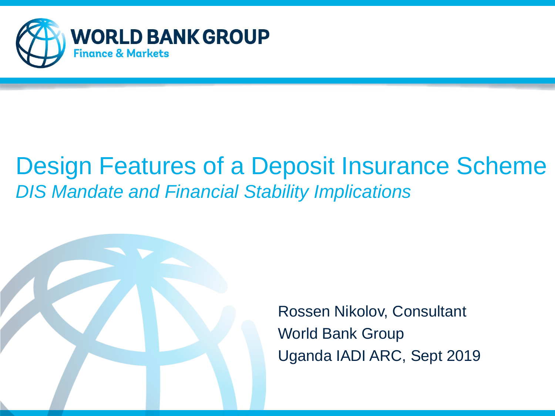

#### Design Features of a Deposit Insurance Scheme *DIS Mandate and Financial Stability Implications*



Rossen Nikolov, Consultant World Bank Group Uganda IADI ARC, Sept 2019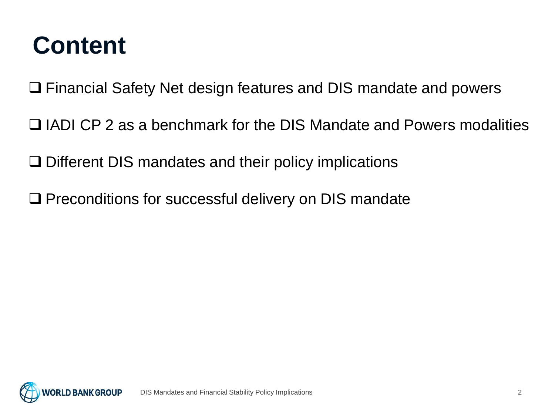#### **Content**

❑ Financial Safety Net design features and DIS mandate and powers

❑ IADI CP 2 as a benchmark for the DIS Mandate and Powers modalities

❑ Different DIS mandates and their policy implications

❑ Preconditions for successful delivery on DIS mandate

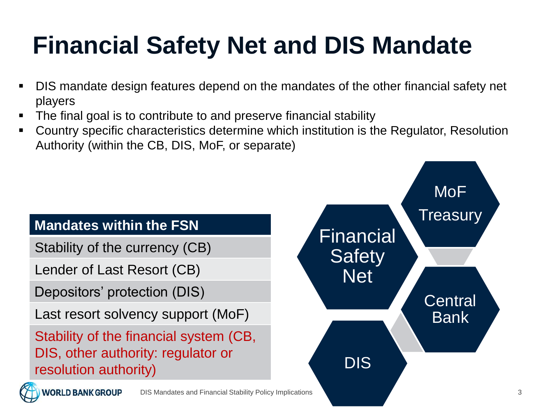- DIS mandate design features depend on the mandates of the other financial safety net players
- The final goal is to contribute to and preserve financial stability
- Country specific characteristics determine which institution is the Regulator, Resolution Authority (within the CB, DIS, MoF, or separate)

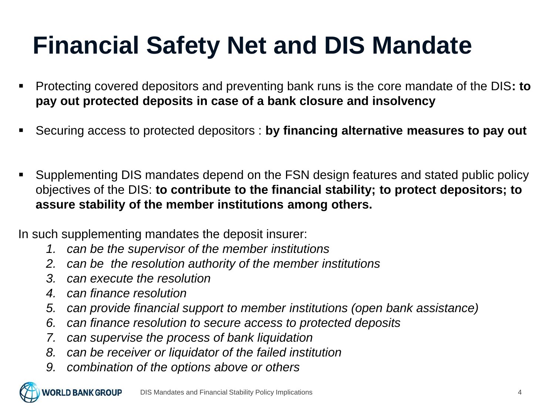- Protecting covered depositors and preventing bank runs is the core mandate of the DIS**: to pay out protected deposits in case of a bank closure and insolvency**
- Securing access to protected depositors : **by financing alternative measures to pay out**
- Supplementing DIS mandates depend on the FSN design features and stated public policy objectives of the DIS: **to contribute to the financial stability; to protect depositors; to assure stability of the member institutions among others.**

In such supplementing mandates the deposit insurer:

- *1. can be the supervisor of the member institutions*
- *2. can be the resolution authority of the member institutions*
- *3. can execute the resolution*
- *4. can finance resolution*
- *5. can provide financial support to member institutions (open bank assistance)*
- *6. can finance resolution to secure access to protected deposits*
- *7. can supervise the process of bank liquidation*
- *8. can be receiver or liquidator of the failed institution*
- *9. combination of the options above or others*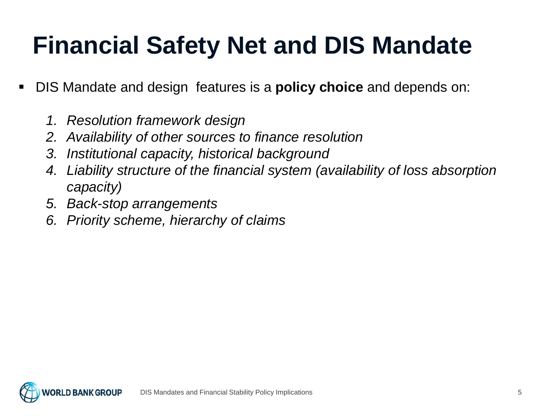- DIS Mandate and design features is a **policy choice** and depends on:
	- *1. Resolution framework design*
	- *2. Availability of other sources to finance resolution*
	- *3. Institutional capacity, historical background*
	- *4. Liability structure of the financial system (availability of loss absorption capacity)*
	- *5. Back-stop arrangements*
	- *6. Priority scheme, hierarchy of claims*

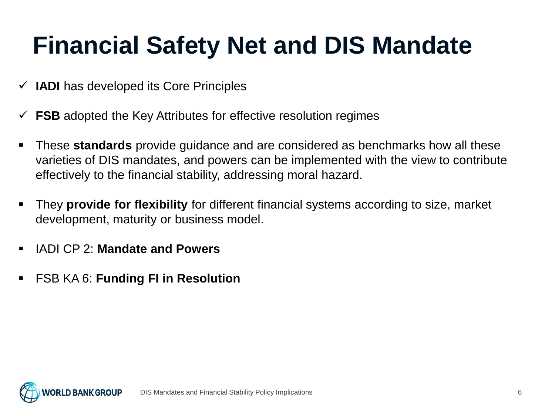- ✓ **IADI** has developed its Core Principles
- $\checkmark$  **FSB** adopted the Key Attributes for effective resolution regimes
- **These standards** provide guidance and are considered as benchmarks how all these varieties of DIS mandates, and powers can be implemented with the view to contribute effectively to the financial stability, addressing moral hazard.
- They **provide for flexibility** for different financial systems according to size, market development, maturity or business model.
- IADI CP 2: **Mandate and Powers**
- FSB KA 6: **Funding FI in Resolution**

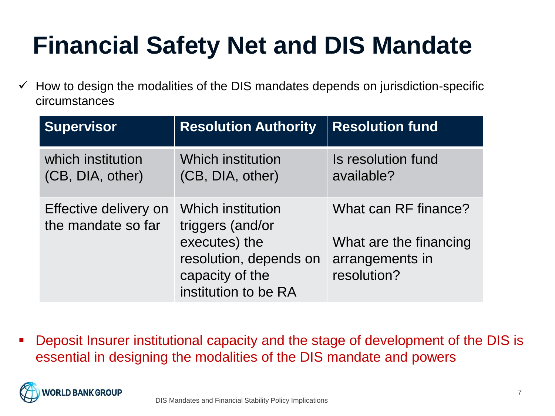$\checkmark$  How to design the modalities of the DIS mandates depends on jurisdiction-specific circumstances

| <b>Supervisor</b>                           | <b>Resolution Authority</b>                                                                                                        | <b>Resolution fund</b>                                                           |
|---------------------------------------------|------------------------------------------------------------------------------------------------------------------------------------|----------------------------------------------------------------------------------|
| which institution<br>(CB, DIA, other)       | <b>Which institution</b><br>(CB, DIA, other)                                                                                       | Is resolution fund<br>available?                                                 |
| Effective delivery on<br>the mandate so far | <b>Which institution</b><br>triggers (and/or<br>executes) the<br>resolution, depends on<br>capacity of the<br>institution to be RA | What can RF finance?<br>What are the financing<br>arrangements in<br>resolution? |

▪ Deposit Insurer institutional capacity and the stage of development of the DIS is essential in designing the modalities of the DIS mandate and powers

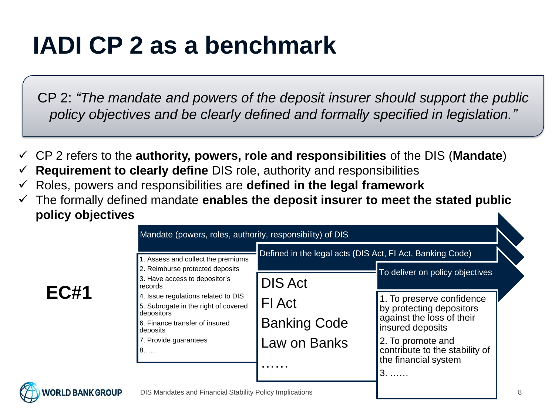#### **IADI CP 2 as a benchmark**

CP 2: *"The mandate and powers of the deposit insurer should support the public policy objectives and be clearly defined and formally specified in legislation."*

- ✓ CP 2 refers to the **authority, powers, role and responsibilities** of the DIS (**Mandate**)
- ✓ **Requirement to clearly define** DIS role, authority and responsibilities
- ✓ Roles, powers and responsibilities are **defined in the legal framework**
- The formally defined mandate **enables the deposit insurer to meet the stated public policy objectives**

| 1. Assess and collect the premiums<br>2. Reimburse protected deposits | Defined in the legal acts (DIS Act, FI Act, Banking Code) |                                                        |
|-----------------------------------------------------------------------|-----------------------------------------------------------|--------------------------------------------------------|
| 3. Have access to depositor's<br>records                              | <b>DIS Act</b>                                            | To deliver on policy objectives                        |
| 4. Issue regulations related to DIS                                   | <b>FI</b> Act                                             | 1. To preserve confidence                              |
| 5. Subrogate in the right of covered<br>depositors                    |                                                           | by protecting depositors                               |
| 6. Finance transfer of insured<br>deposits                            | <b>Banking Code</b>                                       | against the loss of their<br>insured deposits          |
| 7. Provide guarantees                                                 | Law on Banks                                              | 2. To promote and                                      |
| $8.\dots$                                                             |                                                           | contribute to the stability of<br>the financial system |
|                                                                       |                                                           | $3, \ldots$                                            |

#### **EC#1**

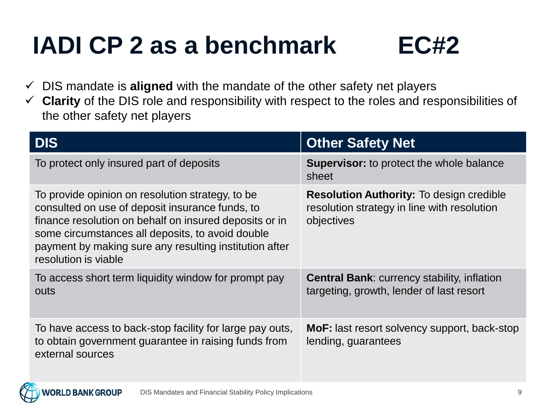#### **IADI CP 2 as a benchmark EC#2**



- ✓ DIS mandate is **aligned** with the mandate of the other safety net players
- ✓ **Clarity** of the DIS role and responsibility with respect to the roles and responsibilities of the other safety net players

| <b>DIS</b>                                                                                                                                                                                                                                                                                          | <b>Other Safety Net</b>                                                                                      |
|-----------------------------------------------------------------------------------------------------------------------------------------------------------------------------------------------------------------------------------------------------------------------------------------------------|--------------------------------------------------------------------------------------------------------------|
| To protect only insured part of deposits                                                                                                                                                                                                                                                            | <b>Supervisor:</b> to protect the whole balance<br>sheet                                                     |
| To provide opinion on resolution strategy, to be<br>consulted on use of deposit insurance funds, to<br>finance resolution on behalf on insured deposits or in<br>some circumstances all deposits, to avoid double<br>payment by making sure any resulting institution after<br>resolution is viable | <b>Resolution Authority: To design credible</b><br>resolution strategy in line with resolution<br>objectives |
| To access short term liquidity window for prompt pay<br><b>outs</b>                                                                                                                                                                                                                                 | <b>Central Bank: currency stability, inflation</b><br>targeting, growth, lender of last resort               |
| To have access to back-stop facility for large pay outs,<br>to obtain government guarantee in raising funds from<br>external sources                                                                                                                                                                | <b>MoF:</b> last resort solvency support, back-stop<br>lending, guarantees                                   |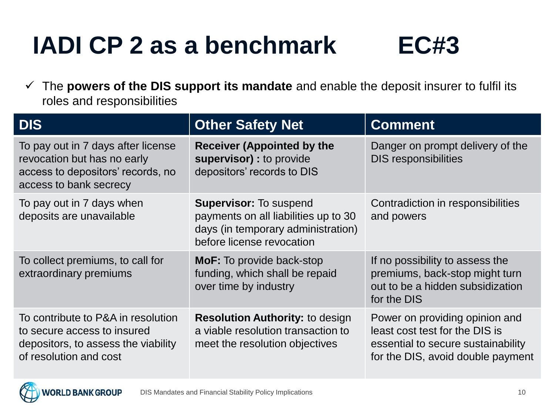#### **IADI CP 2 as a benchmark EC#3**

✓ The **powers of the DIS support its mandate** and enable the deposit insurer to fulfil its roles and responsibilities

| <b>DIS</b>                                                                                                                         | <b>Other Safety Net</b>                                                                                                                  | <b>Comment</b>                                                                                                                              |
|------------------------------------------------------------------------------------------------------------------------------------|------------------------------------------------------------------------------------------------------------------------------------------|---------------------------------------------------------------------------------------------------------------------------------------------|
| To pay out in 7 days after license<br>revocation but has no early<br>access to depositors' records, no<br>access to bank secrecy   | <b>Receiver (Appointed by the</b><br>supervisor) : to provide<br>depositors' records to DIS                                              | Danger on prompt delivery of the<br><b>DIS responsibilities</b>                                                                             |
| To pay out in 7 days when<br>deposits are unavailable                                                                              | <b>Supervisor: To suspend</b><br>payments on all liabilities up to 30<br>days (in temporary administration)<br>before license revocation | Contradiction in responsibilities<br>and powers                                                                                             |
| To collect premiums, to call for<br>extraordinary premiums                                                                         | <b>MoF:</b> To provide back-stop<br>funding, which shall be repaid<br>over time by industry                                              | If no possibility to assess the<br>premiums, back-stop might turn<br>out to be a hidden subsidization<br>for the DIS                        |
| To contribute to P&A in resolution<br>to secure access to insured<br>depositors, to assess the viability<br>of resolution and cost | <b>Resolution Authority: to design</b><br>a viable resolution transaction to<br>meet the resolution objectives                           | Power on providing opinion and<br>least cost test for the DIS is<br>essential to secure sustainability<br>for the DIS, avoid double payment |

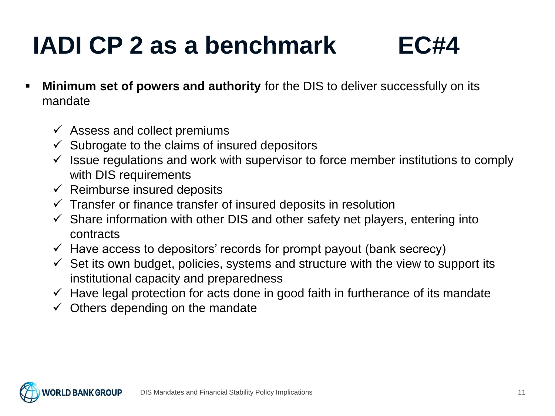#### **IADI CP 2 as a benchmark EC#4**



- **Minimum set of powers and authority** for the DIS to deliver successfully on its mandate
	- $\checkmark$  Assess and collect premiums
	- $\checkmark$  Subrogate to the claims of insured depositors
	- $\checkmark$  Issue regulations and work with supervisor to force member institutions to comply with DIS requirements
	- $\checkmark$  Reimburse insured deposits
	- $\checkmark$  Transfer or finance transfer of insured deposits in resolution
	- $\checkmark$  Share information with other DIS and other safety net players, entering into contracts
	- $\checkmark$  Have access to depositors' records for prompt payout (bank secrecy)
	- $\checkmark$  Set its own budget, policies, systems and structure with the view to support its institutional capacity and preparedness
	- $\checkmark$  Have legal protection for acts done in good faith in furtherance of its mandate
	- $\checkmark$  Others depending on the mandate

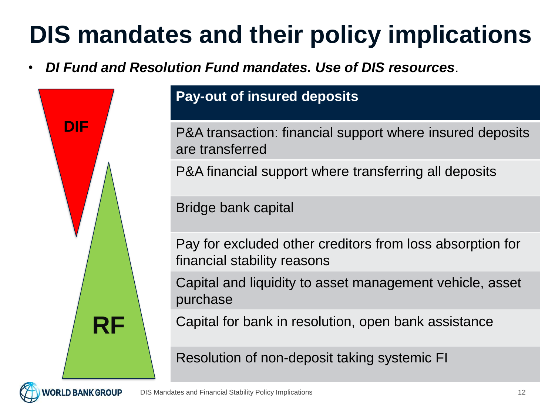• *DI Fund and Resolution Fund mandates. Use of DIS resources*.



**.D BANK GROUP** 

#### **Pay-out of insured deposits**

P&A transaction: financial support where insured deposits are transferred

P&A financial support where transferring all deposits

Bridge bank capital

Pay for excluded other creditors from loss absorption for financial stability reasons

Capital and liquidity to asset management vehicle, аsset purchase

Capital for bank in resolution, open bank assistance

Resolution of non-deposit taking systemic FI

DIS Mandates and Financial Stability Policy Implications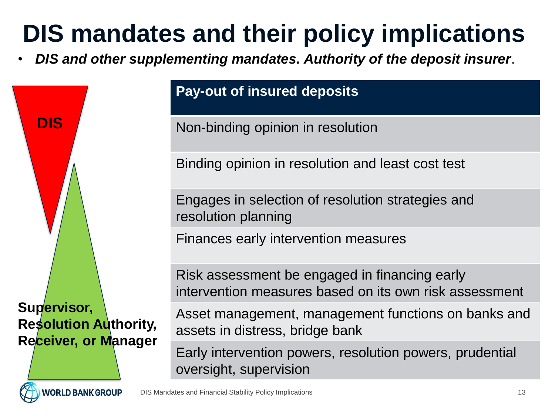• *DIS and other supplementing mandates. Authority of the deposit insurer*.



RLD BANK GROUP

**Pay-out of insured deposits**

Non-binding opinion in resolution

Binding opinion in resolution and least cost test

Engages in selection of resolution strategies and resolution planning

Finances early intervention measures

Risk assessment be engaged in financing early intervention measures based on its own risk assessment

Asset management, management functions on banks and assets in distress, bridge bank

Early intervention powers, resolution powers, prudential oversight, supervision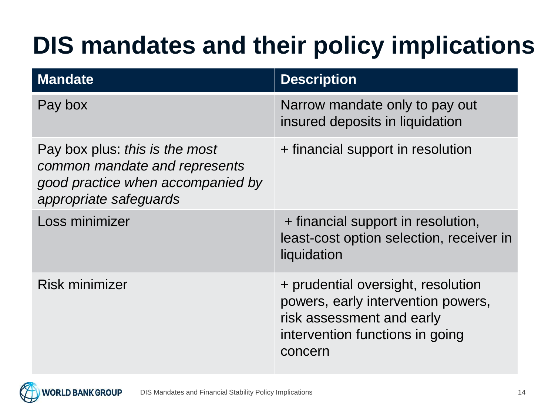| <b>Mandate</b>                                                                                                                 | <b>Description</b>                                                                                                                                  |
|--------------------------------------------------------------------------------------------------------------------------------|-----------------------------------------------------------------------------------------------------------------------------------------------------|
| Pay box                                                                                                                        | Narrow mandate only to pay out<br>insured deposits in liquidation                                                                                   |
| Pay box plus: this is the most<br>common mandate and represents<br>good practice when accompanied by<br>appropriate safeguards | + financial support in resolution                                                                                                                   |
| Loss minimizer                                                                                                                 | + financial support in resolution,<br>least-cost option selection, receiver in<br>liquidation                                                       |
| <b>Risk minimizer</b>                                                                                                          | + prudential oversight, resolution<br>powers, early intervention powers,<br>risk assessment and early<br>intervention functions in going<br>concern |

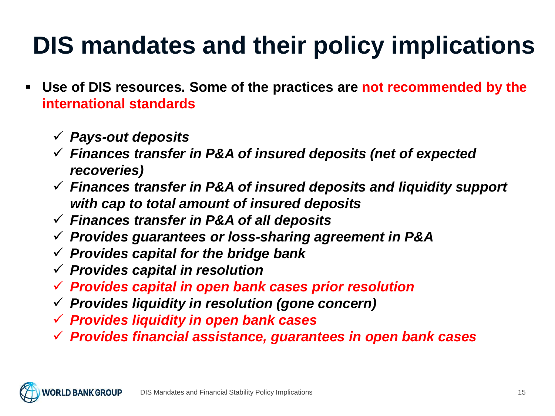- **Use of DIS resources. Some of the practices are not recommended by the international standards**
	- ✓ *Pays-out deposits*
	- ✓ *Finances transfer in P&A of insured deposits (net of expected recoveries)*
	- ✓ *Finances transfer in P&A of insured deposits and liquidity support with cap to total amount of insured deposits*
	- ✓ *Finances transfer in P&A of all deposits*
	- ✓ *Provides guarantees or loss-sharing agreement in P&A*
	- ✓ *Provides capital for the bridge bank*
	- ✓ *Provides capital in resolution*
	- ✓ *Provides capital in open bank cases prior resolution*
	- ✓ *Provides liquidity in resolution (gone concern)*
	- ✓ *Provides liquidity in open bank cases*
	- ✓ *Provides financial assistance, guarantees in open bank cases*

DIS Mandates and Financial Stability Policy Implications **D BANK GROUP**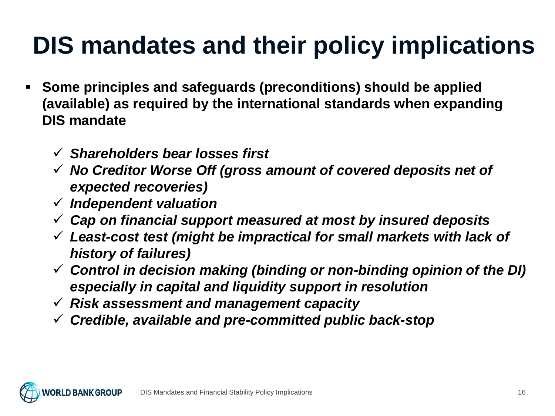- **Some principles and safeguards (preconditions) should be applied (available) as required by the international standards when expanding DIS mandate**
	- ✓ *Shareholders bear losses first*
	- ✓ *No Creditor Worse Off (gross amount of covered deposits net of expected recoveries)*
	- ✓ *Independent valuation*
	- ✓ *Cap on financial support measured at most by insured deposits*
	- ✓ *Least-cost test (might be impractical for small markets with lack of history of failures)*
	- ✓ *Control in decision making (binding or non-binding opinion of the DI) especially in capital and liquidity support in resolution*
	- ✓ *Risk assessment and management capacity*
	- ✓ *Credible, available and pre-committed public back-stop*

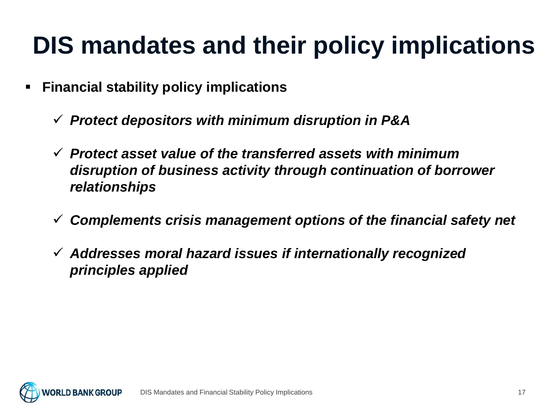- **Financial stability policy implications**
	- ✓ *Protect depositors with minimum disruption in P&A*
	- ✓ *Protect asset value of the transferred assets with minimum disruption of business activity through continuation of borrower relationships*
	- ✓ *Complements crisis management options of the financial safety net*
	- ✓ *Addresses moral hazard issues if internationally recognized principles applied*

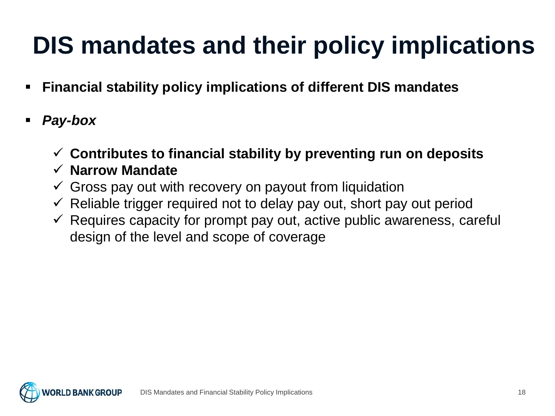- **Financial stability policy implications of different DIS mandates**
- *Pay-box*
	- ✓ **Contributes to financial stability by preventing run on deposits**
	- ✓ **Narrow Mandate**
	- $\checkmark$  Gross pay out with recovery on payout from liquidation
	- $\checkmark$  Reliable trigger required not to delay pay out, short pay out period
	- $\checkmark$  Requires capacity for prompt pay out, active public awareness, careful design of the level and scope of coverage

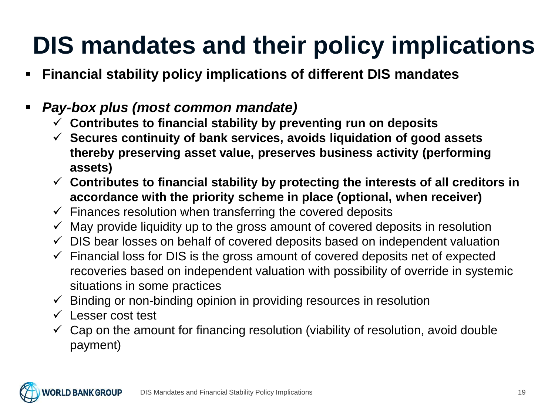- **Financial stability policy implications of different DIS mandates**
- *Pay-box plus (most common mandate)*
	- ✓ **Contributes to financial stability by preventing run on deposits**
	- ✓ **Secures continuity of bank services, avoids liquidation of good assets thereby preserving asset value, preserves business activity (performing assets)**
	- ✓ **Contributes to financial stability by protecting the interests of all creditors in accordance with the priority scheme in place (optional, when receiver)**
	- $\checkmark$  Finances resolution when transferring the covered deposits
	- $\checkmark$  May provide liquidity up to the gross amount of covered deposits in resolution
	- $\checkmark$  DIS bear losses on behalf of covered deposits based on independent valuation
	- $\checkmark$  Financial loss for DIS is the gross amount of covered deposits net of expected recoveries based on independent valuation with possibility of override in systemic situations in some practices
	- $\checkmark$  Binding or non-binding opinion in providing resources in resolution
	- ✓ Lesser cost test
	- $\checkmark$  Cap on the amount for financing resolution (viability of resolution, avoid double payment)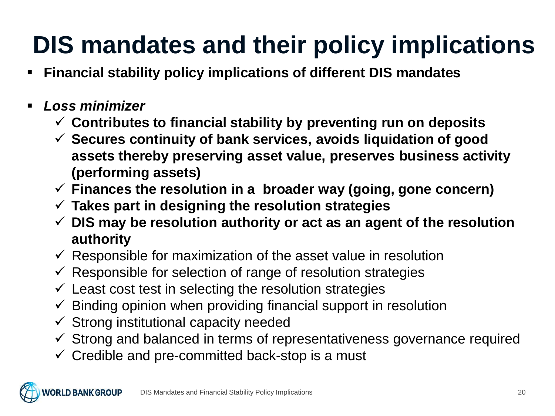- **Financial stability policy implications of different DIS mandates**
- *Loss minimizer*
	- ✓ **Contributes to financial stability by preventing run on deposits**
	- ✓ **Secures continuity of bank services, avoids liquidation of good assets thereby preserving asset value, preserves business activity (performing assets)**
	- ✓ **Finances the resolution in a broader way (going, gone concern)**
	- ✓ **Takes part in designing the resolution strategies**
	- ✓ **DIS may be resolution authority or act as an agent of the resolution authority**
	- $\checkmark$  Responsible for maximization of the asset value in resolution
	- $\checkmark$  Responsible for selection of range of resolution strategies
	- $\checkmark$  Least cost test in selecting the resolution strategies
	- $\checkmark$  Binding opinion when providing financial support in resolution
	- $\checkmark$  Strong institutional capacity needed
	- $\checkmark$  Strong and balanced in terms of representativeness governance required
	- $\checkmark$  Credible and pre-committed back-stop is a must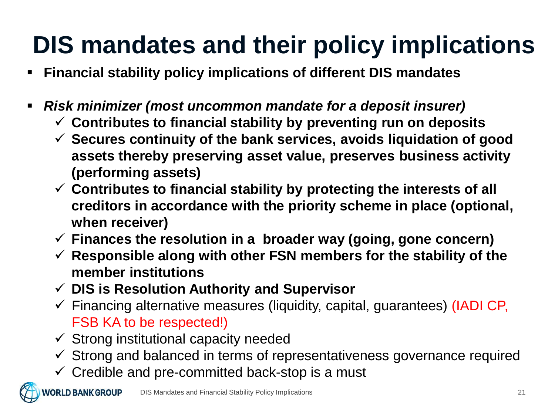- **Financial stability policy implications of different DIS mandates**
- *Risk minimizer (most uncommon mandate for a deposit insurer)*
	- ✓ **Contributes to financial stability by preventing run on deposits**
	- ✓ **Secures continuity of the bank services, avoids liquidation of good assets thereby preserving asset value, preserves business activity (performing assets)**
	- ✓ **Contributes to financial stability by protecting the interests of all creditors in accordance with the priority scheme in place (optional, when receiver)**
	- ✓ **Finances the resolution in a broader way (going, gone concern)**
	- ✓ **Responsible along with other FSN members for the stability of the member institutions**
	- ✓ **DIS is Resolution Authority and Supervisor**
	- $\checkmark$  Financing alternative measures (liquidity, capital, guarantees) (IADI CP, FSB KA to be respected!)
	- $\checkmark$  Strong institutional capacity needed
	- $\checkmark$  Strong and balanced in terms of representativeness governance required
	- $\checkmark$  Credible and pre-committed back-stop is a must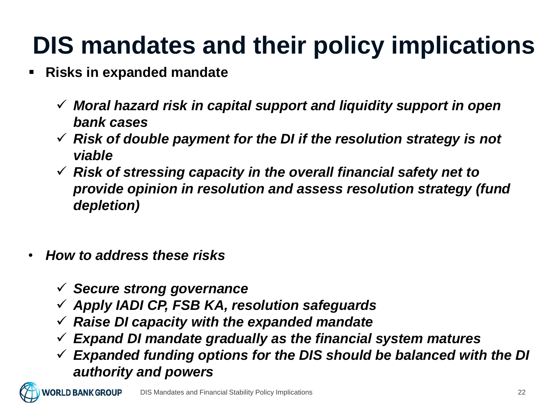- **Risks in expanded mandate** 
	- ✓ *Moral hazard risk in capital support and liquidity support in open bank cases*
	- ✓ *Risk of double payment for the DI if the resolution strategy is not viable*
	- ✓ *Risk of stressing capacity in the overall financial safety net to provide opinion in resolution and assess resolution strategy (fund depletion)*
- *How to address these risks*
	- ✓ *Secure strong governance*
	- ✓ *Apply IADI CP, FSB KA, resolution safeguards*
	- ✓ *Raise DI capacity with the expanded mandate*
	- ✓ *Expand DI mandate gradually as the financial system matures*
	- ✓ *Expanded funding options for the DIS should be balanced with the DI authority and powers*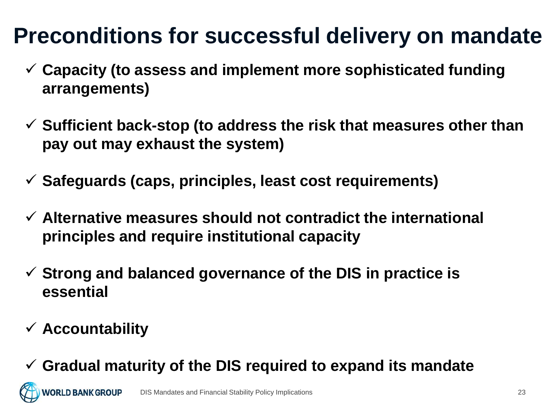#### **Preconditions for successful delivery on mandate**

- ✓ **Capacity (to assess and implement more sophisticated funding arrangements)**
- ✓ **Sufficient back-stop (to address the risk that measures other than pay out may exhaust the system)**
- ✓ **Safeguards (caps, principles, least cost requirements)**
- ✓ **Alternative measures should not contradict the international principles and require institutional capacity**
- ✓ **Strong and balanced governance of the DIS in practice is essential**
- ✓ **Accountability**
- ✓ **Gradual maturity of the DIS required to expand its mandate**

**ORLD BANK GROUP** DIS Mandates and Financial Stability Policy Implications